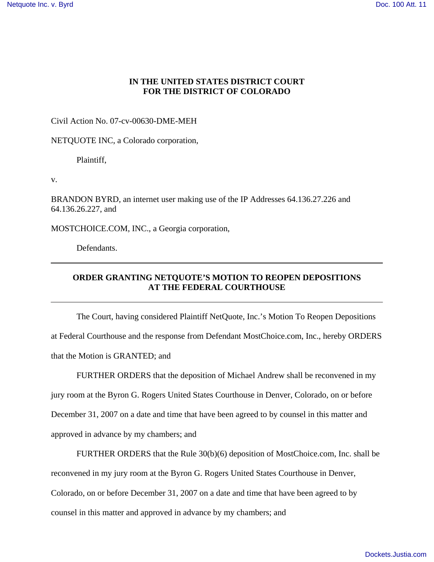## **IN THE UNITED STATES DISTRICT COURT FOR THE DISTRICT OF COLORADO**

Civil Action No. 07-cv-00630-DME-MEH

NETQUOTE INC, a Colorado corporation,

Plaintiff,

v.

BRANDON BYRD, an internet user making use of the IP Addresses 64.136.27.226 and 64.136.26.227, and

MOSTCHOICE.COM, INC., a Georgia corporation,

Defendants.

## **ORDER GRANTING NETQUOTE'S MOTION TO REOPEN DEPOSITIONS AT THE FEDERAL COURTHOUSE**

 The Court, having considered Plaintiff NetQuote, Inc.'s Motion To Reopen Depositions at Federal Courthouse and the response from Defendant MostChoice.com, Inc., hereby ORDERS that the Motion is GRANTED; and

 FURTHER ORDERS that the deposition of Michael Andrew shall be reconvened in my jury room at the Byron G. Rogers United States Courthouse in Denver, Colorado, on or before December 31, 2007 on a date and time that have been agreed to by counsel in this matter and approved in advance by my chambers; and

 FURTHER ORDERS that the Rule 30(b)(6) deposition of MostChoice.com, Inc. shall be reconvened in my jury room at the Byron G. Rogers United States Courthouse in Denver, Colorado, on or before December 31, 2007 on a date and time that have been agreed to by counsel in this matter and approved in advance by my chambers; and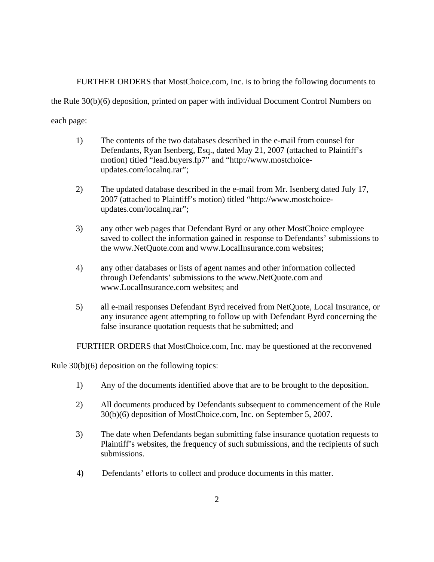FURTHER ORDERS that MostChoice.com, Inc. is to bring the following documents to

the Rule 30(b)(6) deposition, printed on paper with individual Document Control Numbers on

each page:

- 1) The contents of the two databases described in the e-mail from counsel for Defendants, Ryan Isenberg, Esq., dated May 21, 2007 (attached to Plaintiff's motion) titled "lead.buyers.fp7" and "http://www.mostchoiceupdates.com/localnq.rar";
- 2) The updated database described in the e-mail from Mr. Isenberg dated July 17, 2007 (attached to Plaintiff's motion) titled "http://www.mostchoiceupdates.com/localnq.rar";
- 3) any other web pages that Defendant Byrd or any other MostChoice employee saved to collect the information gained in response to Defendants' submissions to the www.NetQuote.com and www.LocalInsurance.com websites;
- 4) any other databases or lists of agent names and other information collected through Defendants' submissions to the www.NetQuote.com and www.LocalInsurance.com websites; and
- 5) all e-mail responses Defendant Byrd received from NetQuote, Local Insurance, or any insurance agent attempting to follow up with Defendant Byrd concerning the false insurance quotation requests that he submitted; and

FURTHER ORDERS that MostChoice.com, Inc. may be questioned at the reconvened

Rule 30(b)(6) deposition on the following topics:

- 1) Any of the documents identified above that are to be brought to the deposition.
- 2) All documents produced by Defendants subsequent to commencement of the Rule 30(b)(6) deposition of MostChoice.com, Inc. on September 5, 2007.
- 3) The date when Defendants began submitting false insurance quotation requests to Plaintiff's websites, the frequency of such submissions, and the recipients of such submissions.
- 4) Defendants' efforts to collect and produce documents in this matter.